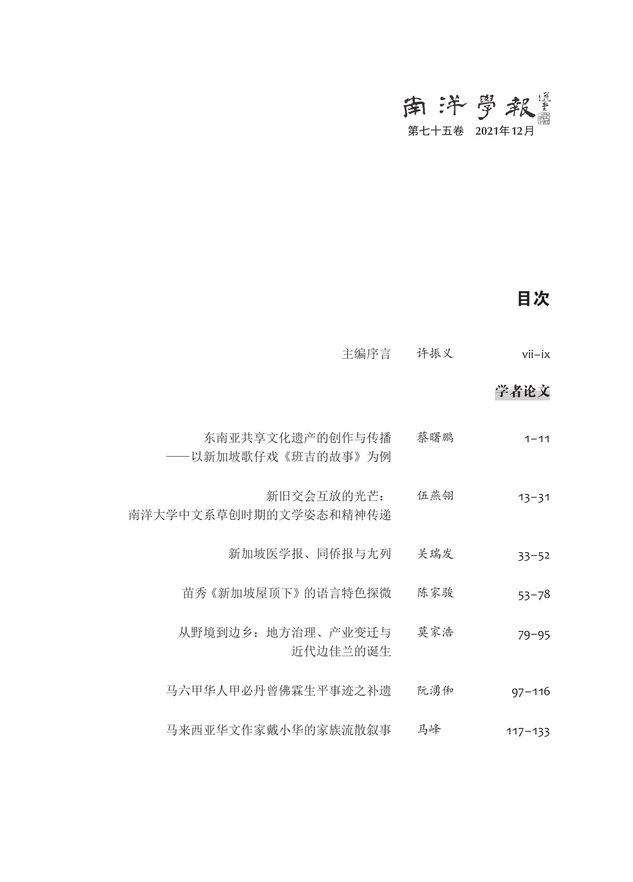# 第七十五卷 2021年12月

## 目次

| $vii - ix$  | 许振义 | 主编序言                                  |
|-------------|-----|---------------------------------------|
| 学者论文        |     |                                       |
| $1 - 11$    | 蔡曙鹏 | 东南亚共享文化遗产的创作与传播<br>——以新加坡歌仔戏《班吉的故事》为例 |
| $13 - 31$   | 伍燕翎 | 新旧交会互放的光芒:<br>南洋大学中文系草创时期的文学姿态和精神传递   |
| $33 - 52$   | 关瑞发 | 新加坡医学报、同侨报与尢列                         |
| $53 - 78$   | 陈家骏 | 苗秀《新加坡屋顶下》的语言特色探微                     |
| $79 - 95$   | 莫家浩 | 从野境到边乡: 地方治理、产业变迁与<br>近代边佳兰的诞生        |
| $97 - 116$  | 阮湧俰 | 马六甲华人甲必丹曾佛霖生平事迹之补遗                    |
| $117 - 133$ | 马峰  | 马来西亚华文作家戴小华的家族流散叙事                    |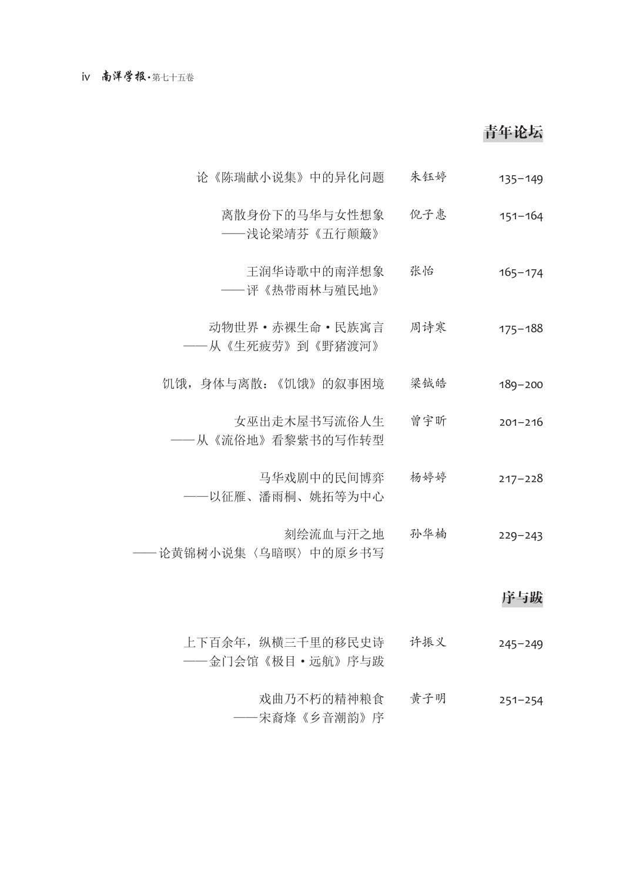### 青年论坛

- 论《陈瑞献小说集》中的异化问题 朱钰婷 135–149
	- 离散身份下的马华与女性想象 ——浅论梁靖芬《五行颠簸》 倪子惠 151–164
	- 王润华诗歌中的南洋想象 ——评《热带雨林与殖民地》 张怡 165-174
- 动物世界·赤裸生命·民族寓言 ——从《生死疲劳》到《野猪渡河》 周诗寒 175–188
- 饥饿,身体与离散:《饥饿》的叙事困境 梁钺皓 189–200
	- 女巫出走木屋书写流俗人生 ——从《流俗地》看黎紫书的写作转型 曾宇昕 201–216
		- 马华戏剧中的民间博弈 ——以征雁、潘雨桐、姚拓等为中心 杨婷婷 217–228
- 刻绘流血与汗之地 —— 论黄锦树小说集〈乌暗暝〉中的原乡书写 孙华楠 229–243

#### 序与跋

- 上下百余年,纵横三千里的移民史诗 ——金门会馆《极目·远航》序与跋 许振义 245–249
	- 戏曲乃不朽的精神粮食 ——宋裔烽《乡音潮韵》序 黄子明 251–254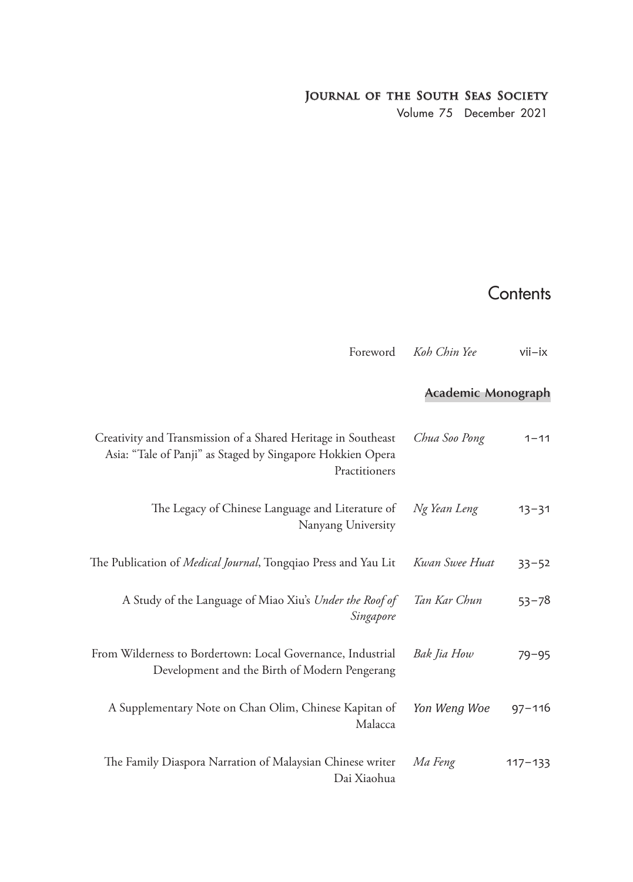#### **Journal of the South Seas Society**

Volume 75 December 2021

## **Contents**

Foreword *Koh Chin Yee* vii-ix

#### **Academic Monograph**

| $1 - 11$    | Chua Soo Pong  | Creativity and Transmission of a Shared Heritage in Southeast<br>Asia: "Tale of Panji" as Staged by Singapore Hokkien Opera<br>Practitioners |
|-------------|----------------|----------------------------------------------------------------------------------------------------------------------------------------------|
| $13 - 31$   | Ng Yean Leng   | The Legacy of Chinese Language and Literature of<br>Nanyang University                                                                       |
| $33 - 52$   | Kwan Swee Huat | The Publication of <i>Medical Journal</i> , Tongqiao Press and Yau Lit                                                                       |
| $53 - 78$   | Tan Kar Chun   | A Study of the Language of Miao Xiu's Under the Roof of<br>Singapore                                                                         |
| $79 - 95$   | Bak Jia How    | From Wilderness to Bordertown: Local Governance, Industrial<br>Development and the Birth of Modern Pengerang                                 |
| $97 - 116$  | Yon Weng Woe   | A Supplementary Note on Chan Olim, Chinese Kapitan of<br>Malacca                                                                             |
| $117 - 133$ | Ma Feng        | The Family Diaspora Narration of Malaysian Chinese writer<br>Dai Xiaohua                                                                     |